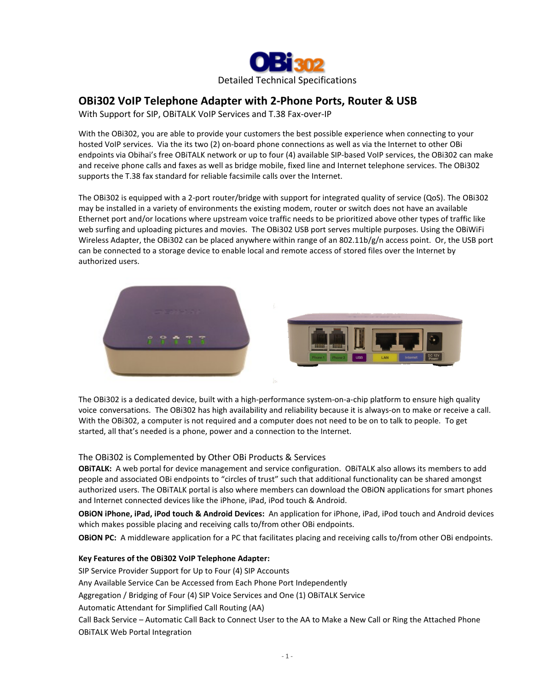

# **OBi302 VoIP Telephone Adapter with 2-Phone Ports, Router & USB**

With Support for SIP, OBiTALK VoIP Services and T.38 Fax-over-IP

With the OBi302, you are able to provide your customers the best possible experience when connecting to your hosted VoIP services. Via the its two (2) on-board phone connections as well as via the Internet to other OBi endpoints via Obihai's free OBiTALK network or up to four (4) available SIP-based VoIP services, the OBi302 can make and receive phone calls and faxes as well as bridge mobile, fixed line and Internet telephone services. The OBi302 supports the T.38 fax standard for reliable facsimile calls over the Internet.

The OBi302 is equipped with a 2-port router/bridge with support for integrated quality of service (QoS). The OBi302 may be installed in a variety of environments the existing modem, router or switch does not have an available Ethernet port and/or locations where upstream voice traffic needs to be prioritized above other types of traffic like web surfing and uploading pictures and movies. The OBi302 USB port serves multiple purposes. Using the OBiWiFi Wireless Adapter, the OBi302 can be placed anywhere within range of an 802.11b/g/n access point. Or, the USB port can be connected to a storage device to enable local and remote access of stored files over the Internet by authorized users.



The OBi302 is a dedicated device, built with a high-performance system-on-a-chip platform to ensure high quality voice conversations. The OBi302 has high availability and reliability because it is always-on to make or receive a call. With the OBi302, a computer is not required and a computer does not need to be on to talk to people. To get started, all that's needed is a phone, power and a connection to the Internet.

## The OBi302 is Complemented by Other OBi Products & Services

**OBiTALK:** A web portal for device management and service configuration. OBiTALK also allows its members to add people and associated OBi endpoints to "circles of trust" such that additional functionality can be shared amongst authorized users. The OBiTALK portal is also where members can download the OBiON applications for smart phones and Internet connected devices like the iPhone, iPad, iPod touch & Android.

**OBiON iPhone, iPad, iPod touch & Android Devices:** An application for iPhone, iPad, iPod touch and Android devices which makes possible placing and receiving calls to/from other OBi endpoints.

**OBiON PC:** A middleware application for a PC that facilitates placing and receiving calls to/from other OBi endpoints.

### **Key Features of the OBi302 VoIP Telephone Adapter:**

SIP Service Provider Support for Up to Four (4) SIP Accounts

Any Available Service Can be Accessed from Each Phone Port Independently

Aggregation / Bridging of Four (4) SIP Voice Services and One (1) OBiTALK Service

Automatic Attendant for Simplified Call Routing (AA)

Call Back Service – Automatic Call Back to Connect User to the AA to Make a New Call or Ring the Attached Phone OBiTALK Web Portal Integration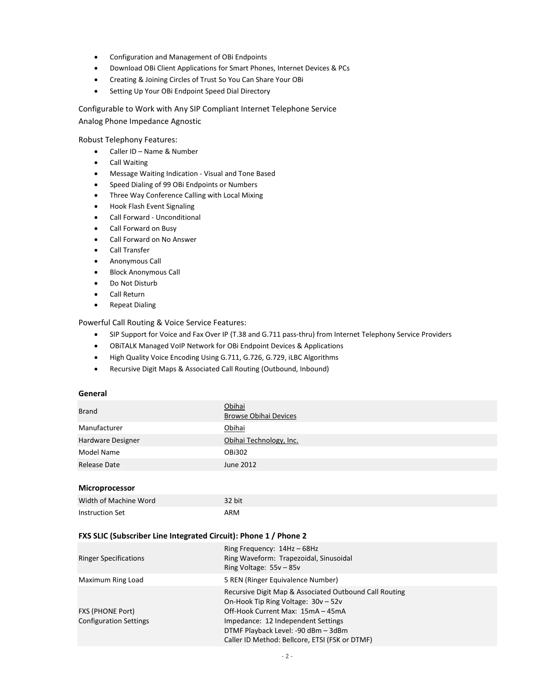- Configuration and Management of OBi Endpoints
- Download OBi Client Applications for Smart Phones, Internet Devices & PCs
- Creating & Joining Circles of Trust So You Can Share Your OBi
- Setting Up Your OBi Endpoint Speed Dial Directory

Configurable to Work with Any SIP Compliant Internet Telephone Service Analog Phone Impedance Agnostic

Robust Telephony Features:

- Caller ID Name & Number
- **•** Call Waiting
- Message Waiting Indication Visual and Tone Based
- Speed Dialing of 99 OBi Endpoints or Numbers
- Three Way Conference Calling with Local Mixing
- Hook Flash Event Signaling
- Call Forward Unconditional
- Call Forward on Busy
- Call Forward on No Answer
- Call Transfer
- Anonymous Call
- Block Anonymous Call
- Do Not Disturb
- Call Return
- **•** Repeat Dialing

#### Powerful Call Routing & Voice Service Features:

- SIP Support for Voice and Fax Over IP (T.38 and G.711 pass-thru) from Internet Telephony Service Providers
- OBiTALK Managed VoIP Network for OBi Endpoint Devices & Applications
- High Quality Voice Encoding Using G.711, G.726, G.729, iLBC Algorithms
- Recursive Digit Maps & Associated Call Routing (Outbound, Inbound)

#### **General**

| <b>Brand</b>      | <b>Obihai</b><br><b>Browse Obihai Devices</b> |
|-------------------|-----------------------------------------------|
| Manufacturer      | Obihai                                        |
| Hardware Designer | Obihai Technology, Inc.                       |
| Model Name        | OBi302                                        |
| Release Date      | June 2012                                     |
|                   |                                               |

# **Microprocessor**

| Width of Machine Word | 32 bit |
|-----------------------|--------|
| Instruction Set       | ARM    |

#### **FXS SLIC (Subscriber Line Integrated Circuit): Phone 1 / Phone 2**

| <b>Ringer Specifications</b>                             | Ring Frequency: $14Hz - 68Hz$<br>Ring Waveform: Trapezoidal, Sinusoidal<br>Ring Voltage: $55v - 85v$                                                                                                                                                              |
|----------------------------------------------------------|-------------------------------------------------------------------------------------------------------------------------------------------------------------------------------------------------------------------------------------------------------------------|
| Maximum Ring Load                                        | 5 REN (Ringer Equivalence Number)                                                                                                                                                                                                                                 |
| <b>FXS (PHONE Port)</b><br><b>Configuration Settings</b> | Recursive Digit Map & Associated Outbound Call Routing<br>On-Hook Tip Ring Voltage: 30v - 52v<br>Off-Hook Current Max: 15mA - 45mA<br>Impedance: 12 Independent Settings<br>DTMF Playback Level: -90 dBm - 3dBm<br>Caller ID Method: Bellcore, ETSI (FSK or DTMF) |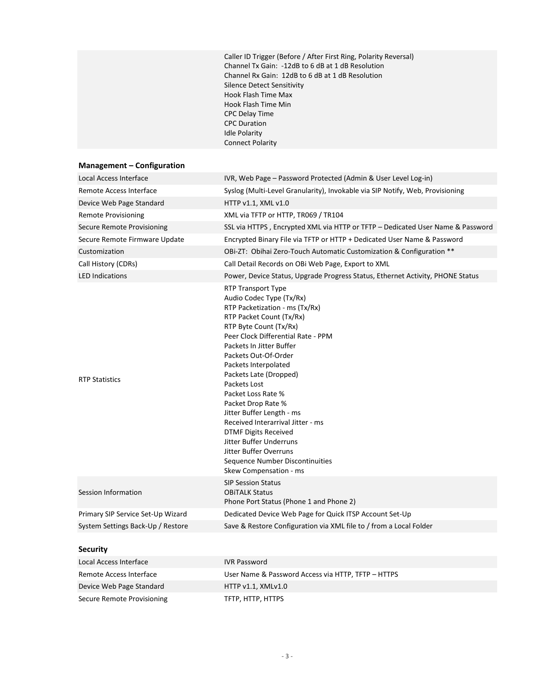Caller ID Trigger (Before / After First Ring, Polarity Reversal) Channel Tx Gain: -12dB to 6 dB at 1 dB Resolution Channel Rx Gain: 12dB to 6 dB at 1 dB Resolution Silence Detect Sensitivity Hook Flash Time Max Hook Flash Time Min CPC Delay Time CPC Duration Idle Polarity Connect Polarity

# **Management – Configuration**

| Local Access Interface            | IVR, Web Page – Password Protected (Admin & User Level Log-in)                                                                                                                                                                                                                                                                                                                                                                                                                                                                                                    |
|-----------------------------------|-------------------------------------------------------------------------------------------------------------------------------------------------------------------------------------------------------------------------------------------------------------------------------------------------------------------------------------------------------------------------------------------------------------------------------------------------------------------------------------------------------------------------------------------------------------------|
| Remote Access Interface           | Syslog (Multi-Level Granularity), Invokable via SIP Notify, Web, Provisioning                                                                                                                                                                                                                                                                                                                                                                                                                                                                                     |
| Device Web Page Standard          | HTTP v1.1, XML v1.0                                                                                                                                                                                                                                                                                                                                                                                                                                                                                                                                               |
| <b>Remote Provisioning</b>        | XML via TFTP or HTTP, TR069 / TR104                                                                                                                                                                                                                                                                                                                                                                                                                                                                                                                               |
| Secure Remote Provisioning        | SSL via HTTPS, Encrypted XML via HTTP or TFTP – Dedicated User Name & Password                                                                                                                                                                                                                                                                                                                                                                                                                                                                                    |
| Secure Remote Firmware Update     | Encrypted Binary File via TFTP or HTTP + Dedicated User Name & Password                                                                                                                                                                                                                                                                                                                                                                                                                                                                                           |
| Customization                     | OBI-ZT: Obihai Zero-Touch Automatic Customization & Configuration **                                                                                                                                                                                                                                                                                                                                                                                                                                                                                              |
| Call History (CDRs)               | Call Detail Records on OBi Web Page, Export to XML                                                                                                                                                                                                                                                                                                                                                                                                                                                                                                                |
| <b>LED Indications</b>            | Power, Device Status, Upgrade Progress Status, Ethernet Activity, PHONE Status                                                                                                                                                                                                                                                                                                                                                                                                                                                                                    |
| <b>RTP Statistics</b>             | RTP Transport Type<br>Audio Codec Type (Tx/Rx)<br>RTP Packetization - ms (Tx/Rx)<br>RTP Packet Count (Tx/Rx)<br>RTP Byte Count (Tx/Rx)<br>Peer Clock Differential Rate - PPM<br>Packets In Jitter Buffer<br>Packets Out-Of-Order<br>Packets Interpolated<br>Packets Late (Dropped)<br>Packets Lost<br>Packet Loss Rate %<br>Packet Drop Rate %<br>Jitter Buffer Length - ms<br>Received Interarrival Jitter - ms<br><b>DTMF Digits Received</b><br>Jitter Buffer Underruns<br>Jitter Buffer Overruns<br>Sequence Number Discontinuities<br>Skew Compensation - ms |
| Session Information               | <b>SIP Session Status</b><br><b>OBITALK Status</b><br>Phone Port Status (Phone 1 and Phone 2)                                                                                                                                                                                                                                                                                                                                                                                                                                                                     |
| Primary SIP Service Set-Up Wizard | Dedicated Device Web Page for Quick ITSP Account Set-Up                                                                                                                                                                                                                                                                                                                                                                                                                                                                                                           |
| System Settings Back-Up / Restore | Save & Restore Configuration via XML file to / from a Local Folder                                                                                                                                                                                                                                                                                                                                                                                                                                                                                                |
| <b>Security</b>                   |                                                                                                                                                                                                                                                                                                                                                                                                                                                                                                                                                                   |
| Local Access Interface            | <b>IVR Password</b>                                                                                                                                                                                                                                                                                                                                                                                                                                                                                                                                               |
| Remote Access Interface           | User Name & Password Access via HTTP, TFTP - HTTPS                                                                                                                                                                                                                                                                                                                                                                                                                                                                                                                |
| Device Web Page Standard          | HTTP v1.1, XMLv1.0                                                                                                                                                                                                                                                                                                                                                                                                                                                                                                                                                |
| Secure Remote Provisioning        | TFTP, HTTP, HTTPS                                                                                                                                                                                                                                                                                                                                                                                                                                                                                                                                                 |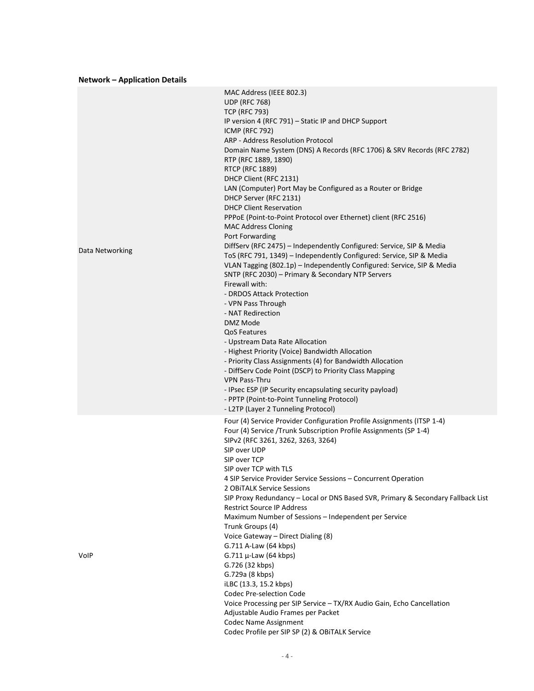## **Network – Application Details**

|                 | MAC Address (IEEE 802.3)                                                         |
|-----------------|----------------------------------------------------------------------------------|
|                 | <b>UDP (RFC 768)</b>                                                             |
|                 | <b>TCP (RFC 793)</b>                                                             |
|                 | IP version 4 (RFC 791) – Static IP and DHCP Support                              |
|                 | <b>ICMP (RFC 792)</b>                                                            |
|                 | ARP - Address Resolution Protocol                                                |
|                 | Domain Name System (DNS) A Records (RFC 1706) & SRV Records (RFC 2782)           |
|                 | RTP (RFC 1889, 1890)                                                             |
|                 | <b>RTCP (RFC 1889)</b>                                                           |
|                 | DHCP Client (RFC 2131)                                                           |
|                 | LAN (Computer) Port May be Configured as a Router or Bridge                      |
|                 | DHCP Server (RFC 2131)                                                           |
|                 | <b>DHCP Client Reservation</b>                                                   |
|                 | PPPoE (Point-to-Point Protocol over Ethernet) client (RFC 2516)                  |
|                 | <b>MAC Address Cloning</b>                                                       |
|                 | Port Forwarding                                                                  |
|                 | DiffServ (RFC 2475) - Independently Configured: Service, SIP & Media             |
| Data Networking | ToS (RFC 791, 1349) - Independently Configured: Service, SIP & Media             |
|                 | VLAN Tagging (802.1p) - Independently Configured: Service, SIP & Media           |
|                 | SNTP (RFC 2030) - Primary & Secondary NTP Servers                                |
|                 | Firewall with:                                                                   |
|                 | - DRDOS Attack Protection                                                        |
|                 | - VPN Pass Through                                                               |
|                 | - NAT Redirection                                                                |
|                 | DMZ Mode                                                                         |
|                 | <b>QoS Features</b>                                                              |
|                 | - Upstream Data Rate Allocation                                                  |
|                 | - Highest Priority (Voice) Bandwidth Allocation                                  |
|                 | - Priority Class Assignments (4) for Bandwidth Allocation                        |
|                 | - DiffServ Code Point (DSCP) to Priority Class Mapping                           |
|                 | <b>VPN Pass-Thru</b>                                                             |
|                 | - IPsec ESP (IP Security encapsulating security payload)                         |
|                 | - PPTP (Point-to-Point Tunneling Protocol)                                       |
|                 | - L2TP (Layer 2 Tunneling Protocol)                                              |
|                 |                                                                                  |
|                 | Four (4) Service Provider Configuration Profile Assignments (ITSP 1-4)           |
|                 | Four (4) Service /Trunk Subscription Profile Assignments (SP 1-4)                |
|                 | SIPv2 (RFC 3261, 3262, 3263, 3264)<br>SIP over UDP                               |
|                 | SIP over TCP                                                                     |
|                 |                                                                                  |
|                 | SIP over TCP with TLS                                                            |
|                 | 4 SIP Service Provider Service Sessions – Concurrent Operation                   |
|                 | 2 OBITALK Service Sessions                                                       |
|                 | SIP Proxy Redundancy - Local or DNS Based SVR, Primary & Secondary Fallback List |
|                 | <b>Restrict Source IP Address</b>                                                |
|                 | Maximum Number of Sessions - Independent per Service                             |
|                 | Trunk Groups (4)                                                                 |
|                 | Voice Gateway - Direct Dialing (8)                                               |
|                 | G.711 A-Law (64 kbps)                                                            |
| VolP            | G.711 $\mu$ -Law (64 kbps)                                                       |
|                 | G.726 (32 kbps)                                                                  |
|                 | G.729a (8 kbps)                                                                  |
|                 | iLBC (13.3, 15.2 kbps)                                                           |
|                 | Codec Pre-selection Code                                                         |
|                 | Voice Processing per SIP Service - TX/RX Audio Gain, Echo Cancellation           |
|                 | Adjustable Audio Frames per Packet                                               |
|                 | <b>Codec Name Assignment</b>                                                     |
|                 | Codec Profile per SIP SP (2) & OBITALK Service                                   |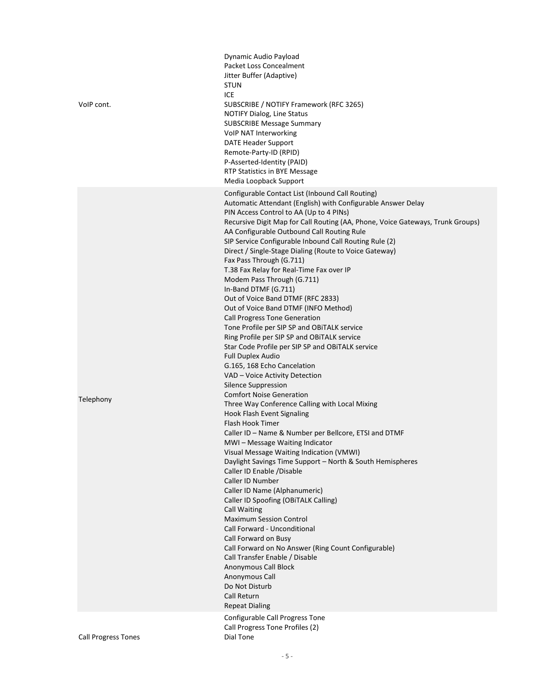| VoIP cont.                 | Dynamic Audio Payload<br>Packet Loss Concealment<br>Jitter Buffer (Adaptive)<br><b>STUN</b><br>ICE<br>SUBSCRIBE / NOTIFY Framework (RFC 3265)<br><b>NOTIFY Dialog, Line Status</b><br><b>SUBSCRIBE Message Summary</b><br>VoIP NAT Interworking<br><b>DATE Header Support</b><br>Remote-Party-ID (RPID)<br>P-Asserted-Identity (PAID)<br>RTP Statistics in BYE Message<br>Media Loopback Support                                                                                                                                                                                                                                                                                                                                                                                                                                                                                                                                                                                                                                                                                                                                                                                                                                                                                                                                                                                                                                                                                                                                                                                                                                                                                                                                                              |
|----------------------------|---------------------------------------------------------------------------------------------------------------------------------------------------------------------------------------------------------------------------------------------------------------------------------------------------------------------------------------------------------------------------------------------------------------------------------------------------------------------------------------------------------------------------------------------------------------------------------------------------------------------------------------------------------------------------------------------------------------------------------------------------------------------------------------------------------------------------------------------------------------------------------------------------------------------------------------------------------------------------------------------------------------------------------------------------------------------------------------------------------------------------------------------------------------------------------------------------------------------------------------------------------------------------------------------------------------------------------------------------------------------------------------------------------------------------------------------------------------------------------------------------------------------------------------------------------------------------------------------------------------------------------------------------------------------------------------------------------------------------------------------------------------|
| Telephony                  | Configurable Contact List (Inbound Call Routing)<br>Automatic Attendant (English) with Configurable Answer Delay<br>PIN Access Control to AA (Up to 4 PINs)<br>Recursive Digit Map for Call Routing (AA, Phone, Voice Gateways, Trunk Groups)<br>AA Configurable Outbound Call Routing Rule<br>SIP Service Configurable Inbound Call Routing Rule (2)<br>Direct / Single-Stage Dialing (Route to Voice Gateway)<br>Fax Pass Through (G.711)<br>T.38 Fax Relay for Real-Time Fax over IP<br>Modem Pass Through (G.711)<br>In-Band DTMF (G.711)<br>Out of Voice Band DTMF (RFC 2833)<br>Out of Voice Band DTMF (INFO Method)<br><b>Call Progress Tone Generation</b><br>Tone Profile per SIP SP and OBITALK service<br>Ring Profile per SIP SP and OBITALK service<br>Star Code Profile per SIP SP and OBITALK service<br><b>Full Duplex Audio</b><br>G.165, 168 Echo Cancelation<br>VAD - Voice Activity Detection<br>Silence Suppression<br><b>Comfort Noise Generation</b><br>Three Way Conference Calling with Local Mixing<br>Hook Flash Event Signaling<br>Flash Hook Timer<br>Caller ID - Name & Number per Bellcore, ETSI and DTMF<br>MWI-Message Waiting Indicator<br>Visual Message Waiting Indication (VMWI)<br>Daylight Savings Time Support - North & South Hemispheres<br>Caller ID Enable /Disable<br>Caller ID Number<br>Caller ID Name (Alphanumeric)<br>Caller ID Spoofing (OBITALK Calling)<br><b>Call Waiting</b><br><b>Maximum Session Control</b><br>Call Forward - Unconditional<br>Call Forward on Busy<br>Call Forward on No Answer (Ring Count Configurable)<br>Call Transfer Enable / Disable<br>Anonymous Call Block<br>Anonymous Call<br>Do Not Disturb<br>Call Return<br><b>Repeat Dialing</b><br>Configurable Call Progress Tone |
| <b>Call Progress Tones</b> | Call Progress Tone Profiles (2)<br>Dial Tone                                                                                                                                                                                                                                                                                                                                                                                                                                                                                                                                                                                                                                                                                                                                                                                                                                                                                                                                                                                                                                                                                                                                                                                                                                                                                                                                                                                                                                                                                                                                                                                                                                                                                                                  |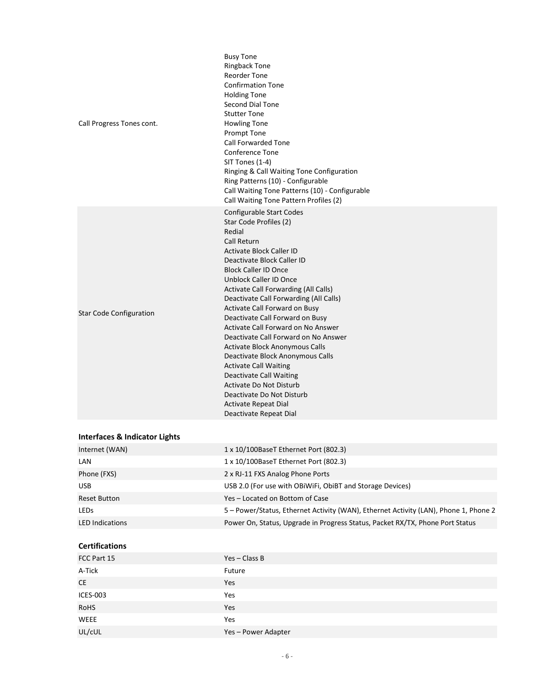| Call Progress Tones cont.      | <b>Busy Tone</b><br><b>Ringback Tone</b><br><b>Reorder Tone</b><br><b>Confirmation Tone</b><br><b>Holding Tone</b><br>Second Dial Tone<br><b>Stutter Tone</b><br><b>Howling Tone</b><br>Prompt Tone<br><b>Call Forwarded Tone</b><br><b>Conference Tone</b><br>SIT Tones (1-4)<br>Ringing & Call Waiting Tone Configuration<br>Ring Patterns (10) - Configurable<br>Call Waiting Tone Patterns (10) - Configurable<br>Call Waiting Tone Pattern Profiles (2)                                                                                                                                                                                                                                                     |
|--------------------------------|------------------------------------------------------------------------------------------------------------------------------------------------------------------------------------------------------------------------------------------------------------------------------------------------------------------------------------------------------------------------------------------------------------------------------------------------------------------------------------------------------------------------------------------------------------------------------------------------------------------------------------------------------------------------------------------------------------------|
| <b>Star Code Configuration</b> | <b>Configurable Start Codes</b><br>Star Code Profiles (2)<br>Redial<br><b>Call Return</b><br><b>Activate Block Caller ID</b><br>Deactivate Block Caller ID<br><b>Block Caller ID Once</b><br><b>Unblock Caller ID Once</b><br>Activate Call Forwarding (All Calls)<br>Deactivate Call Forwarding (All Calls)<br>Activate Call Forward on Busy<br>Deactivate Call Forward on Busy<br>Activate Call Forward on No Answer<br>Deactivate Call Forward on No Answer<br>Activate Block Anonymous Calls<br>Deactivate Block Anonymous Calls<br><b>Activate Call Waiting</b><br><b>Deactivate Call Waiting</b><br>Activate Do Not Disturb<br>Deactivate Do Not Disturb<br>Activate Repeat Dial<br>Deactivate Repeat Dial |

# **Interfaces & Indicator Lights**

| Internet (WAN)         | 1 x 10/100BaseT Ethernet Port (802.3)                                                |
|------------------------|--------------------------------------------------------------------------------------|
| LAN                    | 1 x 10/100BaseT Ethernet Port (802.3)                                                |
| Phone (FXS)            | 2 x RJ-11 FXS Analog Phone Ports                                                     |
| <b>USB</b>             | USB 2.0 (For use with OBIWIFI, ObiBT and Storage Devices)                            |
| <b>Reset Button</b>    | Yes – Located on Bottom of Case                                                      |
| <b>LEDS</b>            | 5 - Power/Status, Ethernet Activity (WAN), Ethernet Activity (LAN), Phone 1, Phone 2 |
| <b>LED Indications</b> | Power On, Status, Upgrade in Progress Status, Packet RX/TX, Phone Port Status        |

#### **Certifications**

| FCC Part 15     | $Yes - Class B$     |
|-----------------|---------------------|
| A-Tick          | Future              |
| CE              | Yes                 |
| <b>ICES-003</b> | Yes                 |
| RoHS            | Yes                 |
| WEEE            | Yes                 |
| UL/cUL          | Yes - Power Adapter |